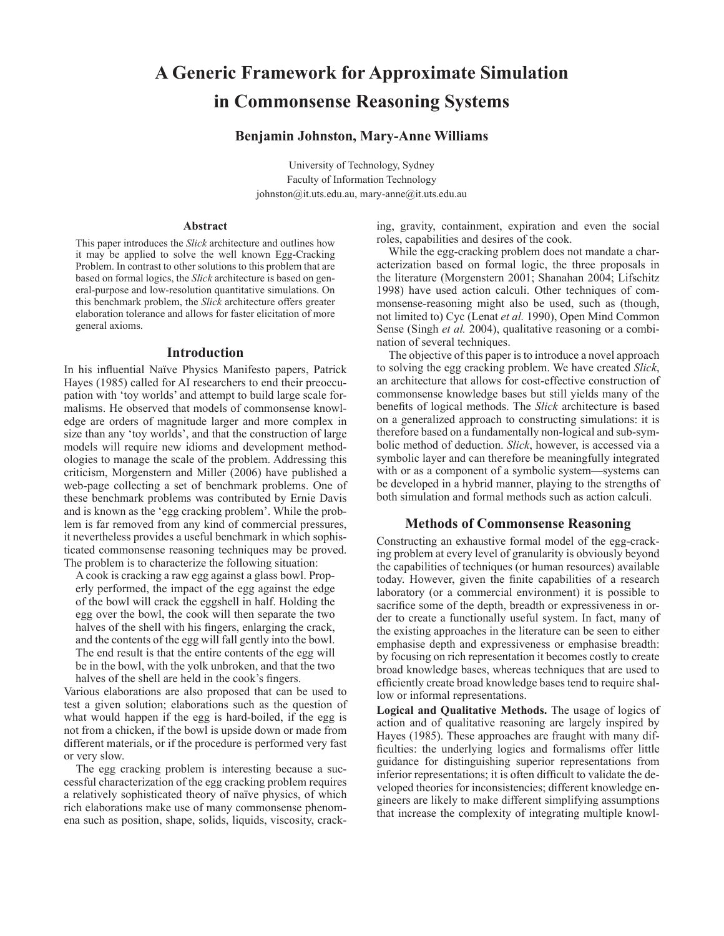# **A Generic Framework for Approximate Simulation in Commonsense Reasoning Systems**

# **Benjamin Johnston, Mary-Anne Williams**

University of Technology, Sydney Faculty of Information Technology johnston@it.uts.edu.au, mary-anne@it.uts.edu.au

## **Abstract**

This paper introduces the *Slick* architecture and outlines how it may be applied to solve the well known Egg-Cracking Problem. In contrast to other solutions to this problem that are based on formal logics, the *Slick* architecture is based on general-purpose and low-resolution quantitative simulations. On this benchmark problem, the *Slick* architecture offers greater elaboration tolerance and allows for faster elicitation of more general axioms.

#### **Introduction**

In his influential Naïve Physics Manifesto papers, Patrick Hayes (1985) called for AI researchers to end their preoccupation with 'toy worlds' and attempt to build large scale formalisms. He observed that models of commonsense knowledge are orders of magnitude larger and more complex in size than any 'toy worlds', and that the construction of large models will require new idioms and development methodologies to manage the scale of the problem. Addressing this criticism, Morgenstern and Miller (2006) have published a web-page collecting a set of benchmark problems. One of these benchmark problems was contributed by Ernie Davis and is known as the 'egg cracking problem'. While the problem is far removed from any kind of commercial pressures, it nevertheless provides a useful benchmark in which sophisticated commonsense reasoning techniques may be proved. The problem is to characterize the following situation:

A cook is cracking a raw egg against a glass bowl. Properly performed, the impact of the egg against the edge of the bowl will crack the eggshell in half. Holding the egg over the bowl, the cook will then separate the two halves of the shell with his fingers, enlarging the crack, and the contents of the egg will fall gently into the bowl. The end result is that the entire contents of the egg will be in the bowl, with the yolk unbroken, and that the two halves of the shell are held in the cook's fingers.

Various elaborations are also proposed that can be used to test a given solution; elaborations such as the question of what would happen if the egg is hard-boiled, if the egg is not from a chicken, if the bowl is upside down or made from different materials, or if the procedure is performed very fast or very slow.

The egg cracking problem is interesting because a successful characterization of the egg cracking problem requires a relatively sophisticated theory of naïve physics, of which rich elaborations make use of many commonsense phenomena such as position, shape, solids, liquids, viscosity, cracking, gravity, containment, expiration and even the social roles, capabilities and desires of the cook.

While the egg-cracking problem does not mandate a characterization based on formal logic, the three proposals in the literature (Morgenstern 2001; Shanahan 2004; Lifschitz 1998) have used action calculi. Other techniques of commonsense-reasoning might also be used, such as (though, not limited to) Cyc (Lenat *et al.* 1990), Open Mind Common Sense (Singh *et al.* 2004), qualitative reasoning or a combination of several techniques.

The objective of this paper is to introduce a novel approach to solving the egg cracking problem. We have created *Slick*, an architecture that allows for cost-effective construction of commonsense knowledge bases but still yields many of the benefits of logical methods. The *Slick* architecture is based on a generalized approach to constructing simulations: it is therefore based on a fundamentally non-logical and sub-symbolic method of deduction. *Slick*, however, is accessed via a symbolic layer and can therefore be meaningfully integrated with or as a component of a symbolic system—systems can be developed in a hybrid manner, playing to the strengths of both simulation and formal methods such as action calculi.

#### **Methods of Commonsense Reasoning**

Constructing an exhaustive formal model of the egg-cracking problem at every level of granularity is obviously beyond the capabilities of techniques (or human resources) available today. However, given the finite capabilities of a research laboratory (or a commercial environment) it is possible to sacrifice some of the depth, breadth or expressiveness in order to create a functionally useful system. In fact, many of the existing approaches in the literature can be seen to either emphasise depth and expressiveness or emphasise breadth: by focusing on rich representation it becomes costly to create broad knowledge bases, whereas techniques that are used to efficiently create broad knowledge bases tend to require shallow or informal representations.

**Logical and Qualitative Methods.** The usage of logics of action and of qualitative reasoning are largely inspired by Hayes (1985). These approaches are fraught with many difficulties: the underlying logics and formalisms offer little guidance for distinguishing superior representations from inferior representations; it is often difficult to validate the developed theories for inconsistencies; different knowledge engineers are likely to make different simplifying assumptions that increase the complexity of integrating multiple knowl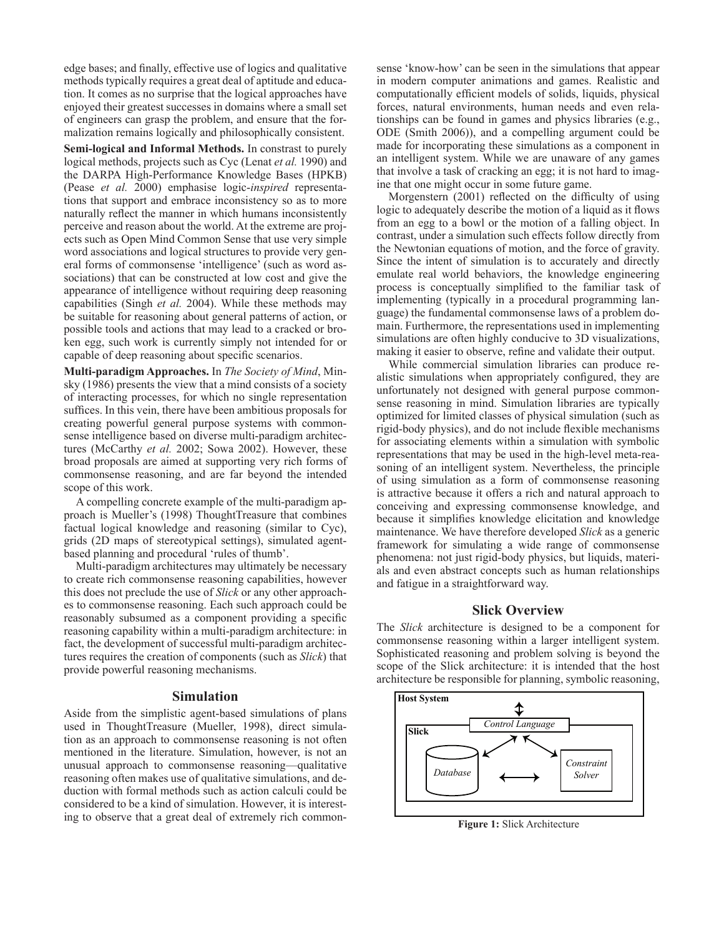edge bases; and finally, effective use of logics and qualitative methods typically requires a great deal of aptitude and education. It comes as no surprise that the logical approaches have enjoyed their greatest successes in domains where a small set of engineers can grasp the problem, and ensure that the formalization remains logically and philosophically consistent.

**Semi-logical and Informal Methods.** In constrast to purely logical methods, projects such as Cyc (Lenat *et al.* 1990) and the DARPA High-Performance Knowledge Bases (HPKB) (Pease *et al.* 2000) emphasise logic-*inspired* representations that support and embrace inconsistency so as to more naturally reflect the manner in which humans inconsistently perceive and reason about the world. At the extreme are projects such as Open Mind Common Sense that use very simple word associations and logical structures to provide very general forms of commonsense 'intelligence' (such as word associations) that can be constructed at low cost and give the appearance of intelligence without requiring deep reasoning capabilities (Singh *et al.* 2004). While these methods may be suitable for reasoning about general patterns of action, or possible tools and actions that may lead to a cracked or broken egg, such work is currently simply not intended for or capable of deep reasoning about specific scenarios.

**Multi-paradigm Approaches.** In *The Society of Mind*, Minsky (1986) presents the view that a mind consists of a society of interacting processes, for which no single representation suffices. In this vein, there have been ambitious proposals for creating powerful general purpose systems with commonsense intelligence based on diverse multi-paradigm architectures (McCarthy *et al.* 2002; Sowa 2002). However, these broad proposals are aimed at supporting very rich forms of commonsense reasoning, and are far beyond the intended scope of this work.

A compelling concrete example of the multi-paradigm approach is Mueller's (1998) ThoughtTreasure that combines factual logical knowledge and reasoning (similar to Cyc), grids (2D maps of stereotypical settings), simulated agentbased planning and procedural 'rules of thumb'.

Multi-paradigm architectures may ultimately be necessary to create rich commonsense reasoning capabilities, however this does not preclude the use of *Slick* or any other approaches to commonsense reasoning. Each such approach could be reasonably subsumed as a component providing a specific reasoning capability within a multi-paradigm architecture: in fact, the development of successful multi-paradigm architectures requires the creation of components (such as *Slick*) that provide powerful reasoning mechanisms.

## **Simulation**

Aside from the simplistic agent-based simulations of plans used in ThoughtTreasure (Mueller, 1998), direct simulation as an approach to commonsense reasoning is not often mentioned in the literature. Simulation, however, is not an unusual approach to commonsense reasoning—qualitative reasoning often makes use of qualitative simulations, and deduction with formal methods such as action calculi could be considered to be a kind of simulation. However, it is interesting to observe that a great deal of extremely rich commonsense 'know-how' can be seen in the simulations that appear in modern computer animations and games. Realistic and computationally efficient models of solids, liquids, physical forces, natural environments, human needs and even relationships can be found in games and physics libraries (e.g., ODE (Smith 2006)), and a compelling argument could be made for incorporating these simulations as a component in an intelligent system. While we are unaware of any games that involve a task of cracking an egg; it is not hard to imagine that one might occur in some future game.

Morgenstern (2001) reflected on the difficulty of using logic to adequately describe the motion of a liquid as it flows from an egg to a bowl or the motion of a falling object. In contrast, under a simulation such effects follow directly from the Newtonian equations of motion, and the force of gravity. Since the intent of simulation is to accurately and directly emulate real world behaviors, the knowledge engineering process is conceptually simplified to the familiar task of implementing (typically in a procedural programming language) the fundamental commonsense laws of a problem domain. Furthermore, the representations used in implementing simulations are often highly conducive to 3D visualizations, making it easier to observe, refine and validate their output.

While commercial simulation libraries can produce realistic simulations when appropriately configured, they are unfortunately not designed with general purpose commonsense reasoning in mind. Simulation libraries are typically optimized for limited classes of physical simulation (such as rigid-body physics), and do not include flexible mechanisms for associating elements within a simulation with symbolic representations that may be used in the high-level meta-reasoning of an intelligent system. Nevertheless, the principle of using simulation as a form of commonsense reasoning is attractive because it offers a rich and natural approach to conceiving and expressing commonsense knowledge, and because it simplifies knowledge elicitation and knowledge maintenance. We have therefore developed *Slick* as a generic framework for simulating a wide range of commonsense phenomena: not just rigid-body physics, but liquids, materials and even abstract concepts such as human relationships and fatigue in a straightforward way.

# **Slick Overview**

The *Slick* architecture is designed to be a component for commonsense reasoning within a larger intelligent system. Sophisticated reasoning and problem solving is beyond the scope of the Slick architecture: it is intended that the host architecture be responsible for planning, symbolic reasoning,



**Figure 1:** Slick Architecture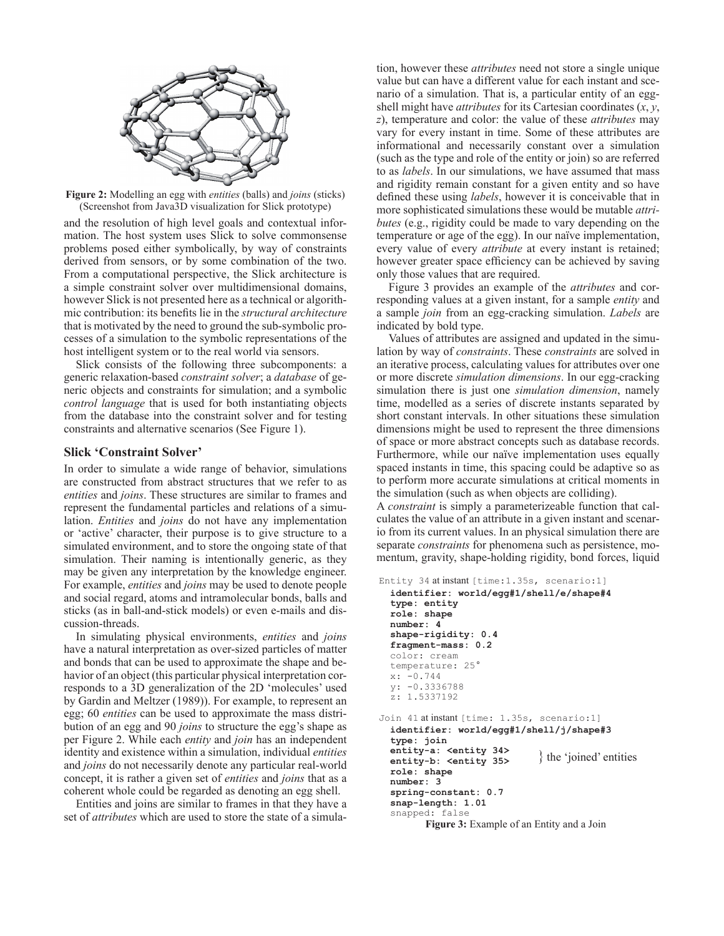

**Figure 2:** Modelling an egg with *entities* (balls) and *joins* (sticks) (Screenshot from Java3D visualization for Slick prototype)

and the resolution of high level goals and contextual information. The host system uses Slick to solve commonsense problems posed either symbolically, by way of constraints derived from sensors, or by some combination of the two. From a computational perspective, the Slick architecture is a simple constraint solver over multidimensional domains, however Slick is not presented here as a technical or algorithmic contribution: its benefits lie in the *structural architecture* that is motivated by the need to ground the sub-symbolic processes of a simulation to the symbolic representations of the host intelligent system or to the real world via sensors.

Slick consists of the following three subcomponents: a generic relaxation-based *constraint solver*; a *database* of generic objects and constraints for simulation; and a symbolic *control language* that is used for both instantiating objects from the database into the constraint solver and for testing constraints and alternative scenarios (See Figure 1).

# **Slick 'Constraint Solver'**

In order to simulate a wide range of behavior, simulations are constructed from abstract structures that we refer to as *entities* and *joins*. These structures are similar to frames and represent the fundamental particles and relations of a simulation. *Entities* and *joins* do not have any implementation or 'active' character, their purpose is to give structure to a simulated environment, and to store the ongoing state of that simulation. Their naming is intentionally generic, as they may be given any interpretation by the knowledge engineer. For example, *entities* and *joins* may be used to denote people and social regard, atoms and intramolecular bonds, balls and sticks (as in ball-and-stick models) or even e-mails and discussion-threads.

In simulating physical environments, *entities* and *joins* have a natural interpretation as over-sized particles of matter and bonds that can be used to approximate the shape and behavior of an object (this particular physical interpretation corresponds to a 3D generalization of the 2D 'molecules' used by Gardin and Meltzer (1989)). For example, to represent an egg; 60 *entities* can be used to approximate the mass distribution of an egg and 90 *joins* to structure the egg's shape as per Figure 2. While each *entity* and *join* has an independent identity and existence within a simulation, individual *entities* and *joins* do not necessarily denote any particular real-world concept, it is rather a given set of *entities* and *joins* that as a coherent whole could be regarded as denoting an egg shell.

Entities and joins are similar to frames in that they have a set of *attributes* which are used to store the state of a simulation, however these *attributes* need not store a single unique value but can have a different value for each instant and scenario of a simulation. That is, a particular entity of an eggshell might have *attributes* for its Cartesian coordinates (*x*, *y*, *z*), temperature and color: the value of these *attributes* may vary for every instant in time. Some of these attributes are informational and necessarily constant over a simulation (such as the type and role of the entity or join) so are referred to as *labels*. In our simulations, we have assumed that mass and rigidity remain constant for a given entity and so have defined these using *labels*, however it is conceivable that in more sophisticated simulations these would be mutable *attributes* (e.g., rigidity could be made to vary depending on the temperature or age of the egg). In our naïve implementation, every value of every *attribute* at every instant is retained; however greater space efficiency can be achieved by saving only those values that are required.

Figure 3 provides an example of the *attributes* and corresponding values at a given instant, for a sample *entity* and a sample *join* from an egg-cracking simulation. *Labels* are indicated by bold type.

Values of attributes are assigned and updated in the simulation by way of *constraints*. These *constraints* are solved in an iterative process, calculating values for attributes over one or more discrete *simulation dimensions*. In our egg-cracking simulation there is just one *simulation dimension*, namely time, modelled as a series of discrete instants separated by short constant intervals. In other situations these simulation dimensions might be used to represent the three dimensions of space or more abstract concepts such as database records. Furthermore, while our naïve implementation uses equally spaced instants in time, this spacing could be adaptive so as to perform more accurate simulations at critical moments in the simulation (such as when objects are colliding).

A *constraint* is simply a parameterizeable function that calculates the value of an attribute in a given instant and scenario from its current values. In an physical simulation there are separate *constraints* for phenomena such as persistence, momentum, gravity, shape-holding rigidity, bond forces, liquid

```
Entity 34 at instant [time:1.35s, scenario:1]
   identifier: world/egg#1/shell/e/shape#4
   type: entity
   role: shape
   number: 4
   shape-rigidity: 0.4
   fragment-mass: 0.2
   color: cream
   temperature: 25°
   x: -0.744
   y: -0.3336788
   z: 1.5337192
Join 41 at instant [time: 1.35s, scenario:1]
   identifier: world/egg#1/shell/j/shape#3
   type: join
   entity-a: <entity 34>
   entity-b: <entity 35>
   role: shape
   number: 3
   spring-constant: 0.7
   snap-length: 1.01
   snapped: false
         Figure 3: Example of an Entity and a Join
                               } the 'joined' entities
```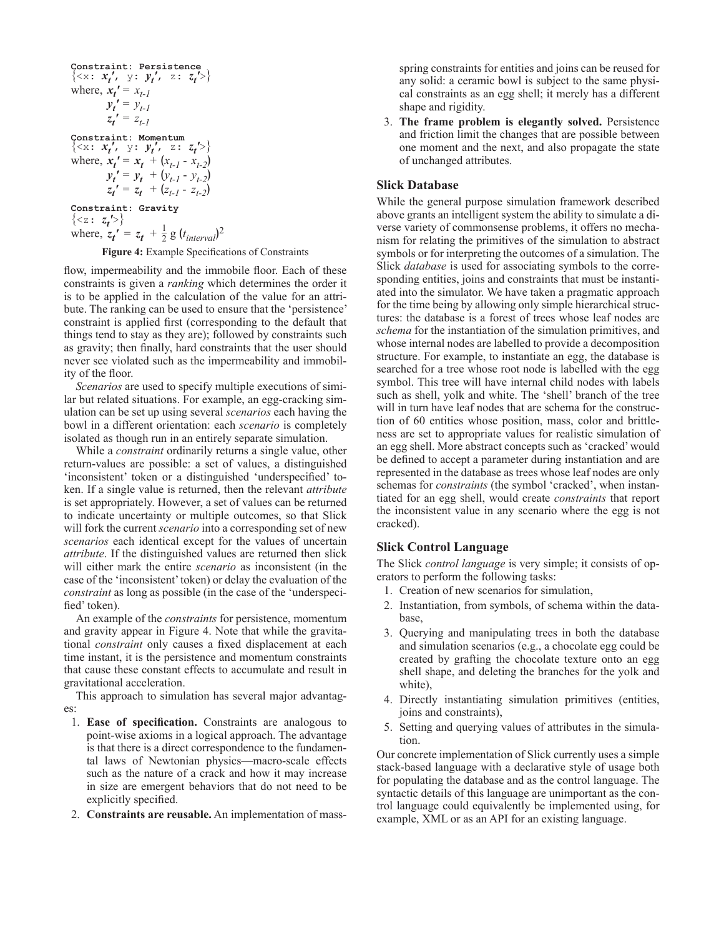Constant: Persistence

\n
$$
\{ \langle x: x'_t, y: y'_t, z: z'_t \rangle \}
$$
\nwhere,

\n
$$
x'_t = x_{t-1}
$$
\n
$$
y'_t = y_{t-1}
$$
\n
$$
z_t' = z_{t-1}
$$
\nConstant: Momentum

\n
$$
\{ \langle x: x'_{t}, y: y'_{t}, z: z_t' \rangle \}
$$
\nwhere,

\n
$$
x'_t = x_t + (x_{t-1} - x_{t-2})
$$
\n
$$
y'_t = y_t + (y_{t-1} - y_{t-2})
$$
\n
$$
z_t' = z_t + (z_{t-1} - z_{t-2})
$$
\nconstraint: Gravity

\n
$$
\{ \langle z: z_t' \rangle \}
$$
\nwhere,

\n
$$
z_t' = z_t + \frac{1}{2} g (t_{interval})^2
$$

**Figure 4:** Example Specifications of Constraints

flow, impermeability and the immobile floor. Each of these constraints is given a *ranking* which determines the order it is to be applied in the calculation of the value for an attribute. The ranking can be used to ensure that the 'persistence' constraint is applied first (corresponding to the default that things tend to stay as they are); followed by constraints such as gravity; then finally, hard constraints that the user should never see violated such as the impermeability and immobility of the floor.

*Scenarios* are used to specify multiple executions of similar but related situations. For example, an egg-cracking simulation can be set up using several *scenarios* each having the bowl in a different orientation: each *scenario* is completely isolated as though run in an entirely separate simulation.

While a *constraint* ordinarily returns a single value, other return-values are possible: a set of values, a distinguished 'inconsistent' token or a distinguished 'underspecified' token. If a single value is returned, then the relevant *attribute* is set appropriately. However, a set of values can be returned to indicate uncertainty or multiple outcomes, so that Slick will fork the current *scenario* into a corresponding set of new *scenarios* each identical except for the values of uncertain *attribute*. If the distinguished values are returned then slick will either mark the entire *scenario* as inconsistent (in the case of the 'inconsistent' token) or delay the evaluation of the *constraint* as long as possible (in the case of the 'underspecified' token).

An example of the *constraints* for persistence, momentum and gravity appear in Figure 4. Note that while the gravitational *constraint* only causes a fixed displacement at each time instant, it is the persistence and momentum constraints that cause these constant effects to accumulate and result in gravitational acceleration.

This approach to simulation has several major advantages:

- 1. **Ease of specification.** Constraints are analogous to point-wise axioms in a logical approach. The advantage is that there is a direct correspondence to the fundamental laws of Newtonian physics—macro-scale effects such as the nature of a crack and how it may increase in size are emergent behaviors that do not need to be explicitly specified.
- 2. **Constraints are reusable.** An implementation of mass-

spring constraints for entities and joins can be reused for any solid: a ceramic bowl is subject to the same physical constraints as an egg shell; it merely has a different shape and rigidity.

3. **The frame problem is elegantly solved.** Persistence and friction limit the changes that are possible between one moment and the next, and also propagate the state of unchanged attributes.

# **Slick Database**

While the general purpose simulation framework described above grants an intelligent system the ability to simulate a diverse variety of commonsense problems, it offers no mechanism for relating the primitives of the simulation to abstract symbols or for interpreting the outcomes of a simulation. The Slick *database* is used for associating symbols to the corresponding entities, joins and constraints that must be instantiated into the simulator. We have taken a pragmatic approach for the time being by allowing only simple hierarchical structures: the database is a forest of trees whose leaf nodes are *schema* for the instantiation of the simulation primitives, and whose internal nodes are labelled to provide a decomposition structure. For example, to instantiate an egg, the database is searched for a tree whose root node is labelled with the egg symbol. This tree will have internal child nodes with labels such as shell, yolk and white. The 'shell' branch of the tree will in turn have leaf nodes that are schema for the construction of 60 entities whose position, mass, color and brittleness are set to appropriate values for realistic simulation of an egg shell. More abstract concepts such as 'cracked' would be defined to accept a parameter during instantiation and are represented in the database as trees whose leaf nodes are only schemas for *constraints* (the symbol 'cracked', when instantiated for an egg shell, would create *constraints* that report the inconsistent value in any scenario where the egg is not cracked).

## **Slick Control Language**

The Slick *control language* is very simple; it consists of operators to perform the following tasks:

- 1. Creation of new scenarios for simulation,
- 2. Instantiation, from symbols, of schema within the database,
- 3. Querying and manipulating trees in both the database and simulation scenarios (e.g., a chocolate egg could be created by grafting the chocolate texture onto an egg shell shape, and deleting the branches for the yolk and white),
- 4. Directly instantiating simulation primitives (entities, joins and constraints),
- 5. Setting and querying values of attributes in the simulation.

Our concrete implementation of Slick currently uses a simple stack-based language with a declarative style of usage both for populating the database and as the control language. The syntactic details of this language are unimportant as the control language could equivalently be implemented using, for example, XML or as an API for an existing language.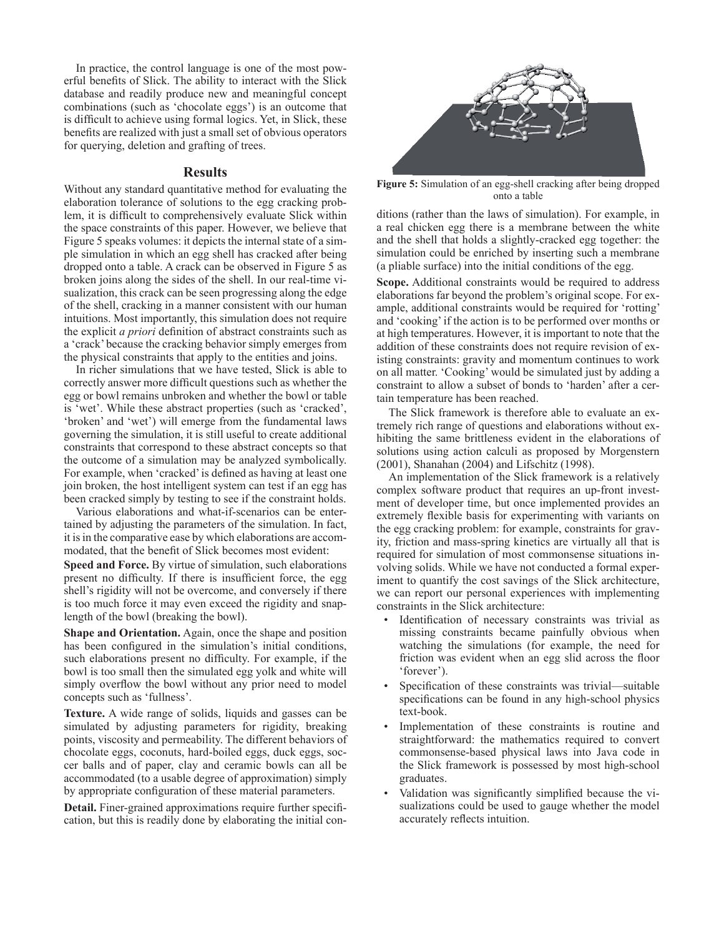In practice, the control language is one of the most powerful benefits of Slick. The ability to interact with the Slick database and readily produce new and meaningful concept combinations (such as 'chocolate eggs') is an outcome that is difficult to achieve using formal logics. Yet, in Slick, these benefits are realized with just a small set of obvious operators for querying, deletion and grafting of trees.

#### **Results**

Without any standard quantitative method for evaluating the elaboration tolerance of solutions to the egg cracking problem, it is difficult to comprehensively evaluate Slick within the space constraints of this paper. However, we believe that Figure 5 speaks volumes: it depicts the internal state of a simple simulation in which an egg shell has cracked after being dropped onto a table. A crack can be observed in Figure 5 as broken joins along the sides of the shell. In our real-time visualization, this crack can be seen progressing along the edge of the shell, cracking in a manner consistent with our human intuitions. Most importantly, this simulation does not require the explicit *a priori* definition of abstract constraints such as a 'crack' because the cracking behavior simply emerges from the physical constraints that apply to the entities and joins.

In richer simulations that we have tested, Slick is able to correctly answer more difficult questions such as whether the egg or bowl remains unbroken and whether the bowl or table is 'wet'. While these abstract properties (such as 'cracked', 'broken' and 'wet') will emerge from the fundamental laws governing the simulation, it is still useful to create additional constraints that correspond to these abstract concepts so that the outcome of a simulation may be analyzed symbolically. For example, when 'cracked' is defined as having at least one join broken, the host intelligent system can test if an egg has been cracked simply by testing to see if the constraint holds.

Various elaborations and what-if-scenarios can be entertained by adjusting the parameters of the simulation. In fact, it is in the comparative ease by which elaborations are accommodated, that the benefit of Slick becomes most evident:

**Speed and Force.** By virtue of simulation, such elaborations present no difficulty. If there is insufficient force, the egg shell's rigidity will not be overcome, and conversely if there is too much force it may even exceed the rigidity and snaplength of the bowl (breaking the bowl).

**Shape and Orientation.** Again, once the shape and position has been configured in the simulation's initial conditions. such elaborations present no difficulty. For example, if the bowl is too small then the simulated egg yolk and white will simply overflow the bowl without any prior need to model concepts such as 'fullness'.

**Texture.** A wide range of solids, liquids and gasses can be simulated by adjusting parameters for rigidity, breaking points, viscosity and permeability. The different behaviors of chocolate eggs, coconuts, hard-boiled eggs, duck eggs, soccer balls and of paper, clay and ceramic bowls can all be accommodated (to a usable degree of approximation) simply by appropriate configuration of these material parameters.

**Detail.** Finer-grained approximations require further specification, but this is readily done by elaborating the initial con-



**Figure 5:** Simulation of an egg-shell cracking after being dropped onto a table

ditions (rather than the laws of simulation). For example, in a real chicken egg there is a membrane between the white and the shell that holds a slightly-cracked egg together: the simulation could be enriched by inserting such a membrane (a pliable surface) into the initial conditions of the egg.

**Scope.** Additional constraints would be required to address elaborations far beyond the problem's original scope. For example, additional constraints would be required for 'rotting' and 'cooking' if the action is to be performed over months or at high temperatures. However, it is important to note that the addition of these constraints does not require revision of existing constraints: gravity and momentum continues to work on all matter. 'Cooking' would be simulated just by adding a constraint to allow a subset of bonds to 'harden' after a certain temperature has been reached.

The Slick framework is therefore able to evaluate an extremely rich range of questions and elaborations without exhibiting the same brittleness evident in the elaborations of solutions using action calculi as proposed by Morgenstern (2001), Shanahan (2004) and Lifschitz (1998).

An implementation of the Slick framework is a relatively complex software product that requires an up-front investment of developer time, but once implemented provides an extremely flexible basis for experimenting with variants on the egg cracking problem: for example, constraints for gravity, friction and mass-spring kinetics are virtually all that is required for simulation of most commonsense situations involving solids. While we have not conducted a formal experiment to quantify the cost savings of the Slick architecture, we can report our personal experiences with implementing constraints in the Slick architecture:

- Identification of necessary constraints was trivial as missing constraints became painfully obvious when watching the simulations (for example, the need for friction was evident when an egg slid across the floor 'forever').
- Specification of these constraints was trivial—suitable specifications can be found in any high-school physics text-book.
- Implementation of these constraints is routine and straightforward: the mathematics required to convert commonsense-based physical laws into Java code in the Slick framework is possessed by most high-school graduates.
- Validation was significantly simplified because the visualizations could be used to gauge whether the model accurately reflects intuition.